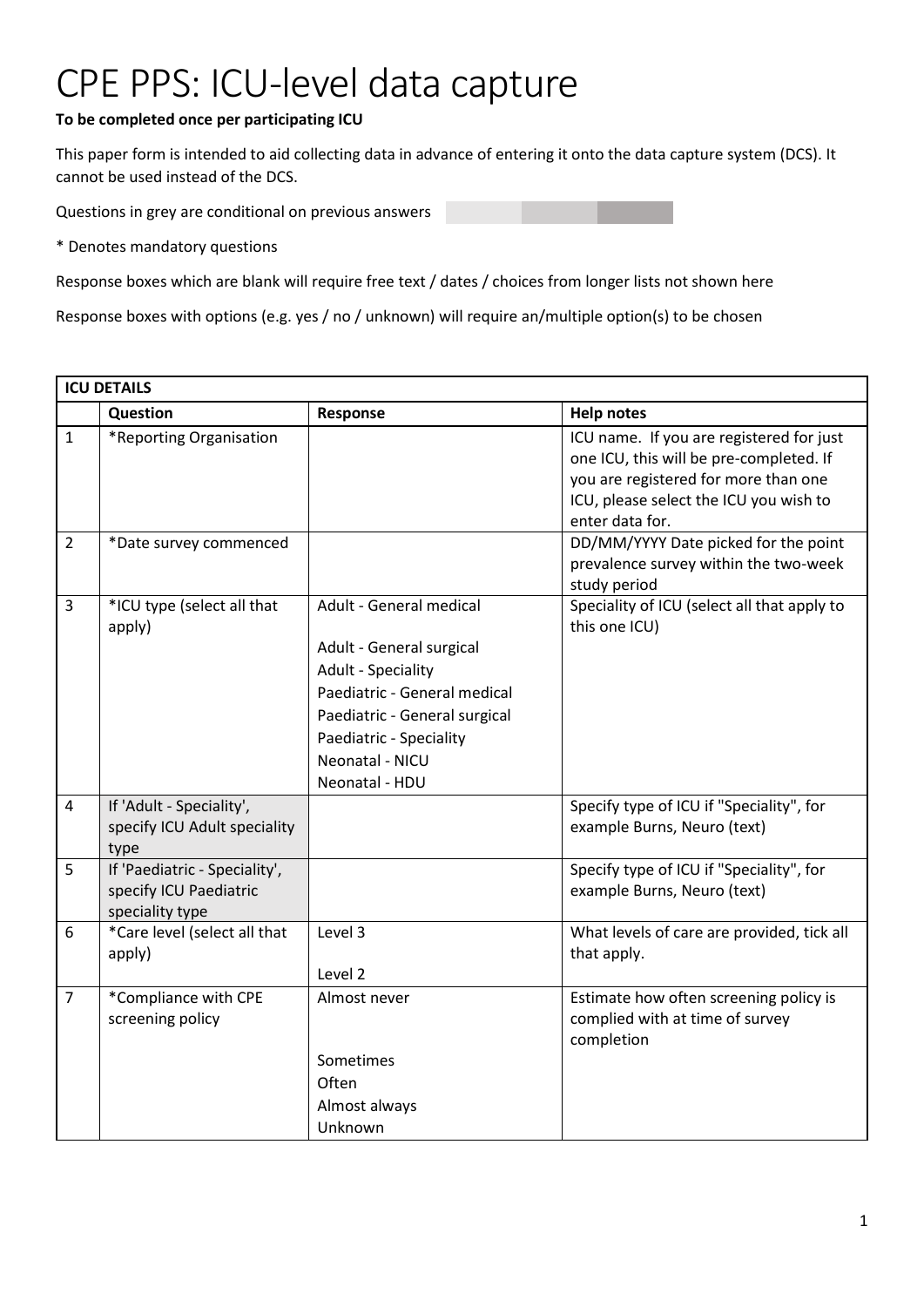## CPE PPS: ICU-level data capture

## **To be completed once per participating ICU**

This paper form is intended to aid collecting data in advance of entering it onto the data capture system (DCS). It cannot be used instead of the DCS.

Questions in grey are conditional on previous answers

\* Denotes mandatory questions

Response boxes which are blank will require free text / dates / choices from longer lists not shown here

Response boxes with options (e.g. yes / no / unknown) will require an/multiple option(s) to be chosen

| <b>ICU DETAILS</b> |                                                                            |                                                                                                                                                                                                            |                                                                                                                                                                                          |  |
|--------------------|----------------------------------------------------------------------------|------------------------------------------------------------------------------------------------------------------------------------------------------------------------------------------------------------|------------------------------------------------------------------------------------------------------------------------------------------------------------------------------------------|--|
|                    | Question                                                                   | Response                                                                                                                                                                                                   | <b>Help notes</b>                                                                                                                                                                        |  |
| $\mathbf{1}$       | *Reporting Organisation                                                    |                                                                                                                                                                                                            | ICU name. If you are registered for just<br>one ICU, this will be pre-completed. If<br>you are registered for more than one<br>ICU, please select the ICU you wish to<br>enter data for. |  |
| $\overline{2}$     | *Date survey commenced                                                     |                                                                                                                                                                                                            | DD/MM/YYYY Date picked for the point<br>prevalence survey within the two-week<br>study period                                                                                            |  |
| $\overline{3}$     | *ICU type (select all that<br>apply)                                       | Adult - General medical<br>Adult - General surgical<br>Adult - Speciality<br>Paediatric - General medical<br>Paediatric - General surgical<br>Paediatric - Speciality<br>Neonatal - NICU<br>Neonatal - HDU | Speciality of ICU (select all that apply to<br>this one ICU)                                                                                                                             |  |
| 4                  | If 'Adult - Speciality',<br>specify ICU Adult speciality<br>type           |                                                                                                                                                                                                            | Specify type of ICU if "Speciality", for<br>example Burns, Neuro (text)                                                                                                                  |  |
| 5                  | If 'Paediatric - Speciality',<br>specify ICU Paediatric<br>speciality type |                                                                                                                                                                                                            | Specify type of ICU if "Speciality", for<br>example Burns, Neuro (text)                                                                                                                  |  |
| 6                  | *Care level (select all that<br>apply)                                     | Level 3<br>Level 2                                                                                                                                                                                         | What levels of care are provided, tick all<br>that apply.                                                                                                                                |  |
| $\overline{7}$     | *Compliance with CPE<br>screening policy                                   | Almost never<br>Sometimes<br>Often<br>Almost always<br>Unknown                                                                                                                                             | Estimate how often screening policy is<br>complied with at time of survey<br>completion                                                                                                  |  |